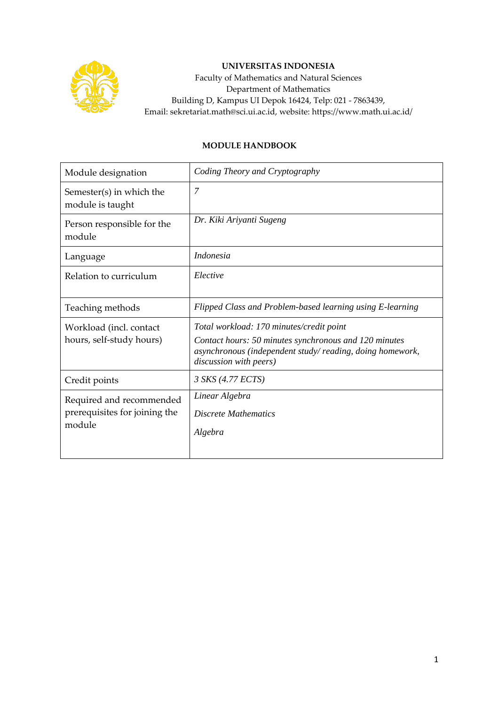

## **UNIVERSITAS INDONESIA**

Faculty of Mathematics and Natural Sciences Department of Mathematics Building D, Kampus UI Depok 16424, Telp: 021 - 7863439, Email: sekretariat.math@sci.ui.ac.id, website: https://www.math.ui.ac.id/

## **MODULE HANDBOOK**

| Module designation                                                  | Coding Theory and Cryptography                                                                                                                                                          |
|---------------------------------------------------------------------|-----------------------------------------------------------------------------------------------------------------------------------------------------------------------------------------|
| Semester(s) in which the<br>module is taught                        | $\overline{7}$                                                                                                                                                                          |
| Person responsible for the<br>module                                | Dr. Kiki Ariyanti Sugeng                                                                                                                                                                |
| Language                                                            | <i>Indonesia</i>                                                                                                                                                                        |
| Relation to curriculum                                              | Elective                                                                                                                                                                                |
| Teaching methods                                                    | Flipped Class and Problem-based learning using E-learning                                                                                                                               |
| Workload (incl. contact<br>hours, self-study hours)                 | Total workload: 170 minutes/credit point<br>Contact hours: 50 minutes synchronous and 120 minutes<br>asynchronous (independent study/reading, doing homework,<br>discussion with peers) |
| Credit points                                                       | 3 SKS (4.77 ECTS)                                                                                                                                                                       |
| Required and recommended<br>prerequisites for joining the<br>module | Linear Algebra<br><b>Discrete Mathematics</b><br>Algebra                                                                                                                                |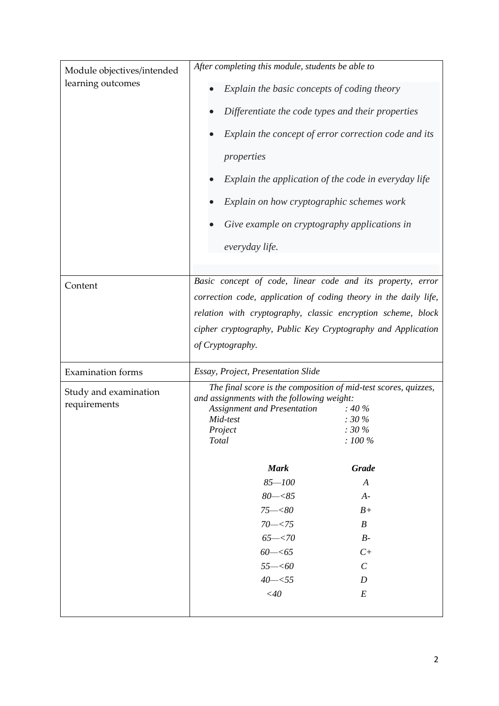| Module objectives/intended<br>learning outcomes | After completing this module, students be able to<br>Explain the basic concepts of coding theory<br>Differentiate the code types and their properties<br>Explain the concept of error correction code and its<br>properties<br>Explain the application of the code in everyday life<br>Explain on how cryptographic schemes work<br>Give example on cryptography applications in<br>everyday life. |                             |  |
|-------------------------------------------------|----------------------------------------------------------------------------------------------------------------------------------------------------------------------------------------------------------------------------------------------------------------------------------------------------------------------------------------------------------------------------------------------------|-----------------------------|--|
| Content                                         | Basic concept of code, linear code and its property, error<br>correction code, application of coding theory in the daily life,                                                                                                                                                                                                                                                                     |                             |  |
|                                                 | relation with cryptography, classic encryption scheme, block                                                                                                                                                                                                                                                                                                                                       |                             |  |
|                                                 | cipher cryptography, Public Key Cryptography and Application                                                                                                                                                                                                                                                                                                                                       |                             |  |
|                                                 | of Cryptography.                                                                                                                                                                                                                                                                                                                                                                                   |                             |  |
| <b>Examination</b> forms                        | Essay, Project, Presentation Slide                                                                                                                                                                                                                                                                                                                                                                 |                             |  |
| Study and examination                           | The final score is the composition of mid-test scores, quizzes,<br>and assignments with the following weight:                                                                                                                                                                                                                                                                                      |                             |  |
| requirements                                    | <b>Assignment and Presentation</b>                                                                                                                                                                                                                                                                                                                                                                 | $: 40 \%$                   |  |
|                                                 | Mid-test                                                                                                                                                                                                                                                                                                                                                                                           | $: 30\%$<br>$: 30\,\%$      |  |
|                                                 | Project<br>Total                                                                                                                                                                                                                                                                                                                                                                                   | $: 100\,\%$                 |  |
|                                                 |                                                                                                                                                                                                                                                                                                                                                                                                    |                             |  |
|                                                 | <b>Mark</b>                                                                                                                                                                                                                                                                                                                                                                                        | <b>Grade</b>                |  |
|                                                 | $85 - 100$                                                                                                                                                                                                                                                                                                                                                                                         | A                           |  |
|                                                 | $80 - < 85$                                                                                                                                                                                                                                                                                                                                                                                        | $A-$                        |  |
|                                                 | $75 - < 80$                                                                                                                                                                                                                                                                                                                                                                                        | $B+$                        |  |
|                                                 | $70 - 575$                                                                                                                                                                                                                                                                                                                                                                                         | $\boldsymbol{B}$            |  |
|                                                 | $65 - < 70$                                                                                                                                                                                                                                                                                                                                                                                        | $B-$                        |  |
|                                                 | $60 - 5$                                                                                                                                                                                                                                                                                                                                                                                           | $C+$                        |  |
|                                                 | $55 - 60$                                                                                                                                                                                                                                                                                                                                                                                          | $\mathcal{C}_{\mathcal{C}}$ |  |
|                                                 | $40 - 55$                                                                                                                                                                                                                                                                                                                                                                                          | D                           |  |
|                                                 | $<$ 40                                                                                                                                                                                                                                                                                                                                                                                             | E                           |  |